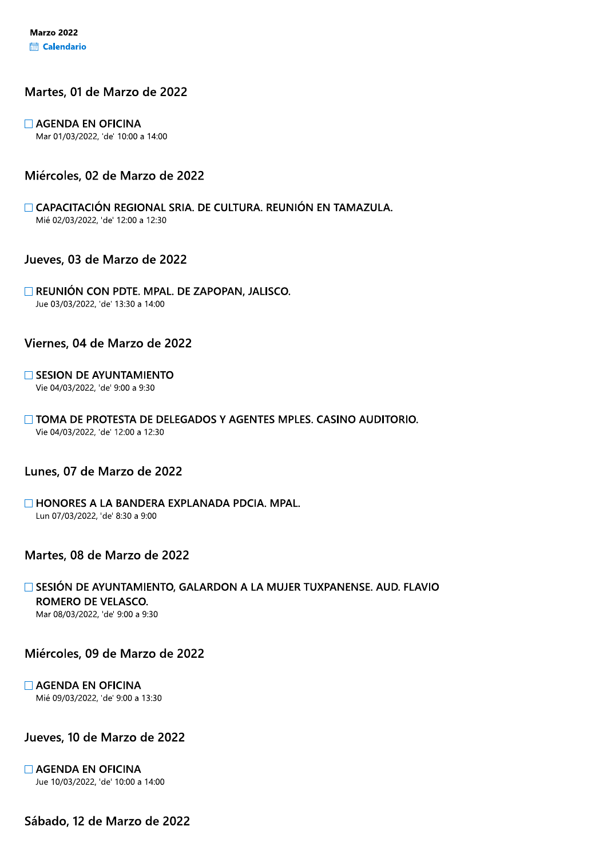# Martes, 01 de Marzo de 2022

# $\Box$  AGENDA EN OFICINA

Mar 01/03/2022, 'de' 10:00 a 14:00

# Miércoles, 02 de Marzo de 2022

CAPACITACIÓN REGIONAL SRIA. DE CULTURA. REUNIÓN EN TAMAZULA. Mié 02/03/2022, 'de' 12:00 a 12:30

# Jueves, 03 de Marzo de 2022

#### REUNIÓN CON PDTE. MPAL. DE ZAPOPAN, JALISCO. Jue 03/03/2022, 'de' 13:30 a 14:00

### Viernes, 04 de Marzo de 2022

#### $\Box$  SESION DE AYUNTAMIENTO Vie 04/03/2022, 'de' 9:00 a 9:30

#### □ TOMA DE PROTESTA DE DELEGADOS Y AGENTES MPLES. CASINO AUDITORIO. Vie 04/03/2022, 'de' 12:00 a 12:30

# Lunes, 07 de Marzo de 2022

# $\Box$  HONORES A LA BANDERA EXPLANADA PDCIA. MPAL.

Lun 07/03/2022, 'de' 8:30 a 9:00

# Martes, 08 de Marzo de 2022

### SESIÓN DE AYUNTAMIENTO, GALARDON A LA MUJER TUXPANENSE. AUD. FLAVIO ROMERO DE VELASCO. Mar 08/03/2022, 'de' 9:00 a 9:30

Miércoles, 09 de Marzo de 2022

#### $\Box$  AGENDA EN OFICINA

Mié 09/03/2022, 'de' 9:00 a 13:30

Jueves, 10 de Marzo de 2022

 $\Box$  AGENDA EN OFICINA Jue 10/03/2022, 'de' 10:00 a 14:00

Sábado, 12 de Marzo de 2022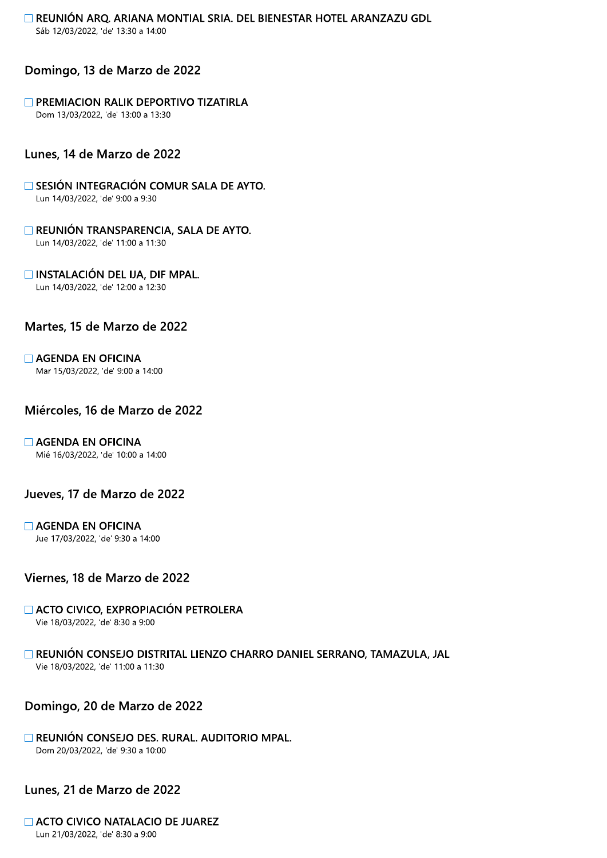REUNIÓN ARQ. ARIANA MONTIAL SRIA. DEL BIENESTAR HOTEL ARANZAZU GDL Sáb 12/03/2022, 'de' 13:30 a 14:00

# Domingo, 13 de Marzo de 2022

## **FIFTING PREMIACION RALIK DEPORTIVO TIZATIRLA**

Dom 13/03/2022, 'de' 13:00 a 13:30

# Lunes, 14 de Marzo de 2022

 $\Box$  SESIÓN INTEGRACIÓN COMUR SALA DE AYTO. Lun 14/03/2022, 'de' 9:00 a 9:30

REUNIÓN TRANSPARENCIA, SALA DE AYTO. Lun 14/03/2022, 'de' 11:00 a 11:30

 $\Box$  INSTALACIÓN DEL IJA, DIF MPAL. Lun 14/03/2022, 'de' 12:00 a 12:30

# Martes, 15 de Marzo de 2022

# $\Box$  AGENDA EN OFICINA

Mar 15/03/2022, 'de' 9:00 a 14:00

# Miércoles, 16 de Marzo de 2022

# $\Box$  AGENDA EN OFICINA

Mié 16/03/2022, 'de' 10:00 a 14:00

# Jueves, 17 de Marzo de 2022

### $\Box$  AGENDA EN OFICINA

Jue 17/03/2022, 'de' 9:30 a 14:00

# Viernes, 18 de Marzo de 2022

#### ACTO CIVICO, EXPROPIACIÓN PETROLERA Vie 18/03/2022, 'de' 8:30 a 9:00

#### REUNION CONSEJO DISTRITAL LIENZO CHARRO DANIEL SERRANO, TAMAZULA, JAL

Vie 18/03/2022, 'de' 11:00 a 11:30

# Domingo, 20 de Marzo de 2022

# REUNIÓN CONSEJO DES. RURAL. AUDITORIO MPAL.

Dom 20/03/2022, 'de' 9:30 a 10:00

Lunes, 21 de Marzo de 2022

#### ACTO CIVICO NATALACIO DE JUAREZ Lun 21/03/2022, 'de' 8:30 a 9:00